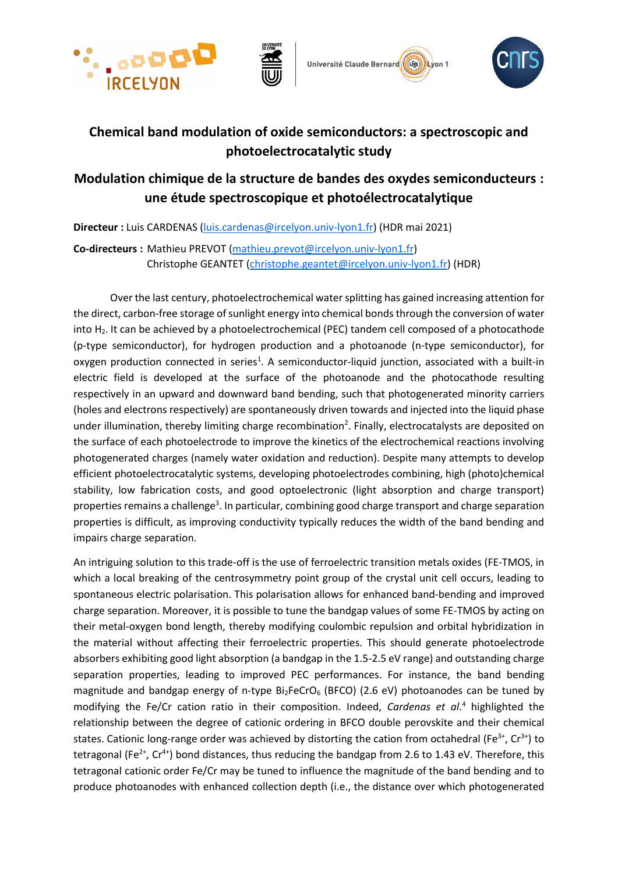







## **Chemical band modulation of oxide semiconductors: a spectroscopic and photoelectrocatalytic study**

## **Modulation chimique de la structure de bandes des oxydes semiconducteurs : une étude spectroscopique et photoélectrocatalytique**

**Directeur :** Luis CARDENAS [\(luis.cardenas@ircelyon.univ-lyon1.fr\)](mailto:luis.cardenas@ircelyon.univ-lyon1.fr) (HDR mai 2021)

**Co-directeurs :** Mathieu PREVOT [\(mathieu.prevot@ircelyon.univ-lyon1.fr\)](mailto:mathieu.prevot@ircelyon.univ-lyon1.fr) Christophe GEANTET [\(christophe.geantet@ircelyon.univ-lyon1.fr\)](file://///fichiers2-2.catalyse.cnrs.fr/fichiers/luis.cardenas/Mes%20documents/projects-/These_ED/christophe.geantet@ircelyon.univ-lyon1.fr) (HDR)

Over the last century, photoelectrochemical water splitting has gained increasing attention for the direct, carbon-free storage of sunlight energy into chemical bonds through the conversion of water into H<sub>2</sub>. It can be achieved by a photoelectrochemical (PEC) tandem cell composed of a photocathode (p-type semiconductor), for hydrogen production and a photoanode (n-type semiconductor), for oxygen production connected in series<sup>1</sup>. A semiconductor-liquid junction, associated with a built-in electric field is developed at the surface of the photoanode and the photocathode resulting respectively in an upward and downward band bending, such that photogenerated minority carriers (holes and electrons respectively) are spontaneously driven towards and injected into the liquid phase under illumination, thereby limiting charge recombination<sup>2</sup>. Finally, electrocatalysts are deposited on the surface of each photoelectrode to improve the kinetics of the electrochemical reactions involving photogenerated charges (namely water oxidation and reduction). Despite many attempts to develop efficient photoelectrocatalytic systems, developing photoelectrodes combining, high (photo)chemical stability, low fabrication costs, and good optoelectronic (light absorption and charge transport) properties remains a challenge<sup>3</sup>. In particular, combining good charge transport and charge separation properties is difficult, as improving conductivity typically reduces the width of the band bending and impairs charge separation.

An intriguing solution to this trade-off is the use of ferroelectric transition metals oxides (FE-TMOS, in which a local breaking of the centrosymmetry point group of the crystal unit cell occurs, leading to spontaneous electric polarisation. This polarisation allows for enhanced band-bending and improved charge separation. Moreover, it is possible to tune the bandgap values of some FE-TMOS by acting on their metal-oxygen bond length, thereby modifying coulombic repulsion and orbital hybridization in the material without affecting their ferroelectric properties. This should generate photoelectrode absorbers exhibiting good light absorption (a bandgap in the 1.5-2.5 eV range) and outstanding charge separation properties, leading to improved PEC performances. For instance, the band bending magnitude and bandgap energy of n-type  $Bi_2FeCrO_6$  (BFCO) (2.6 eV) photoanodes can be tuned by modifying the Fe/Cr cation ratio in their composition. Indeed, *Cardenas et al*. <sup>4</sup> highlighted the relationship between the degree of cationic ordering in BFCO double perovskite and their chemical states. Cationic long-range order was achieved by distorting the cation from octahedral (Fe<sup>3+</sup>, Cr<sup>3+</sup>) to tetragonal (Fe<sup>2+</sup>, Cr<sup>4+</sup>) bond distances, thus reducing the bandgap from 2.6 to 1.43 eV. Therefore, this tetragonal cationic order Fe/Cr may be tuned to influence the magnitude of the band bending and to produce photoanodes with enhanced collection depth (i.e., the distance over which photogenerated